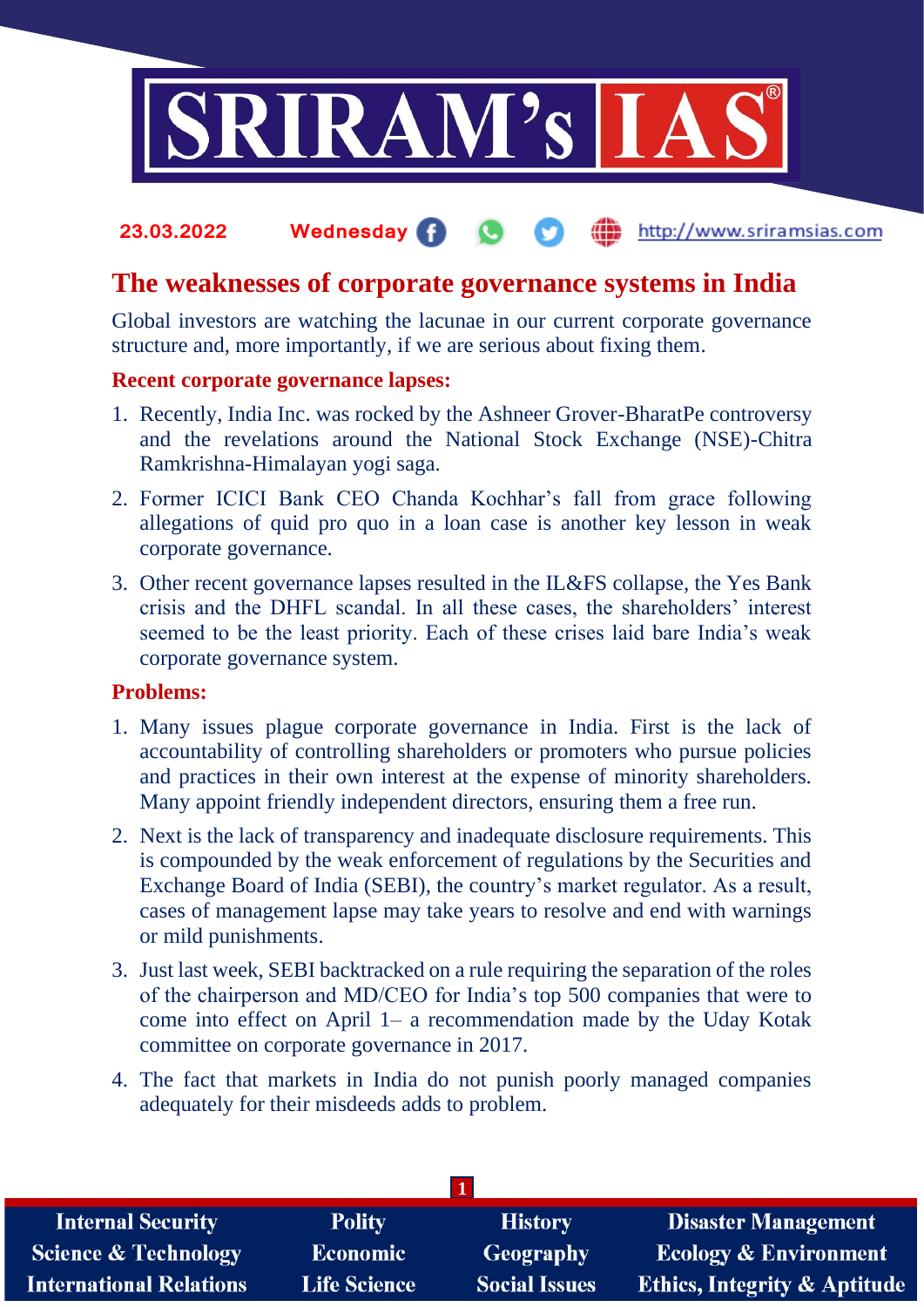

### **23.03.2022 Wednesday** http://www.sriramsias.com

## **The weaknesses of corporate governance systems in India**

Global investors are watching the lacunae in our current corporate governance structure and, more importantly, if we are serious about fixing them.

## **Recent corporate governance lapses:**

- 1. Recently, India Inc. was rocked by the Ashneer Grover-BharatPe controversy and the revelations around the National Stock Exchange (NSE)-Chitra Ramkrishna-Himalayan yogi saga.
- 2. Former ICICI Bank CEO Chanda Kochhar's fall from grace following allegations of quid pro quo in a loan case is another key lesson in weak corporate governance.
- 3. Other recent governance lapses resulted in the IL&FS collapse, the Yes Bank crisis and the DHFL scandal. In all these cases, the shareholders' interest seemed to be the least priority. Each of these crises laid bare India's weak corporate governance system.

## **Problems:**

- 1. Many issues plague corporate governance in India. First is the lack of accountability of controlling shareholders or promoters who pursue policies and practices in their own interest at the expense of minority shareholders. Many appoint friendly independent directors, ensuring them a free run.
- 2. Next is the lack of transparency and inadequate disclosure requirements. This is compounded by the weak enforcement of regulations by the Securities and Exchange Board of India (SEBI), the country's market regulator. As a result, cases of management lapse may take years to resolve and end with warnings or mild punishments.
- 3. Just last week, SEBI backtracked on a rule requiring the separation of the roles of the chairperson and MD/CEO for India's top 500 companies that were to come into effect on April 1– a recommendation made by the Uday Kotak committee on corporate governance in 2017.
- 4. The fact that markets in India do not punish poorly managed companies adequately for their misdeeds adds to problem.

| <b>Internal Security</b>        | <b>Polity</b>       | <b>History</b>       | <b>Disaster Management</b>              |  |  |
|---------------------------------|---------------------|----------------------|-----------------------------------------|--|--|
| <b>Science &amp; Technology</b> | <b>Economic</b>     | <b>Geography</b>     | <b>Ecology &amp; Environment</b>        |  |  |
| <b>International Relations</b>  | <b>Life Science</b> | <b>Social Issues</b> | <b>Ethics, Integrity &amp; Aptitude</b> |  |  |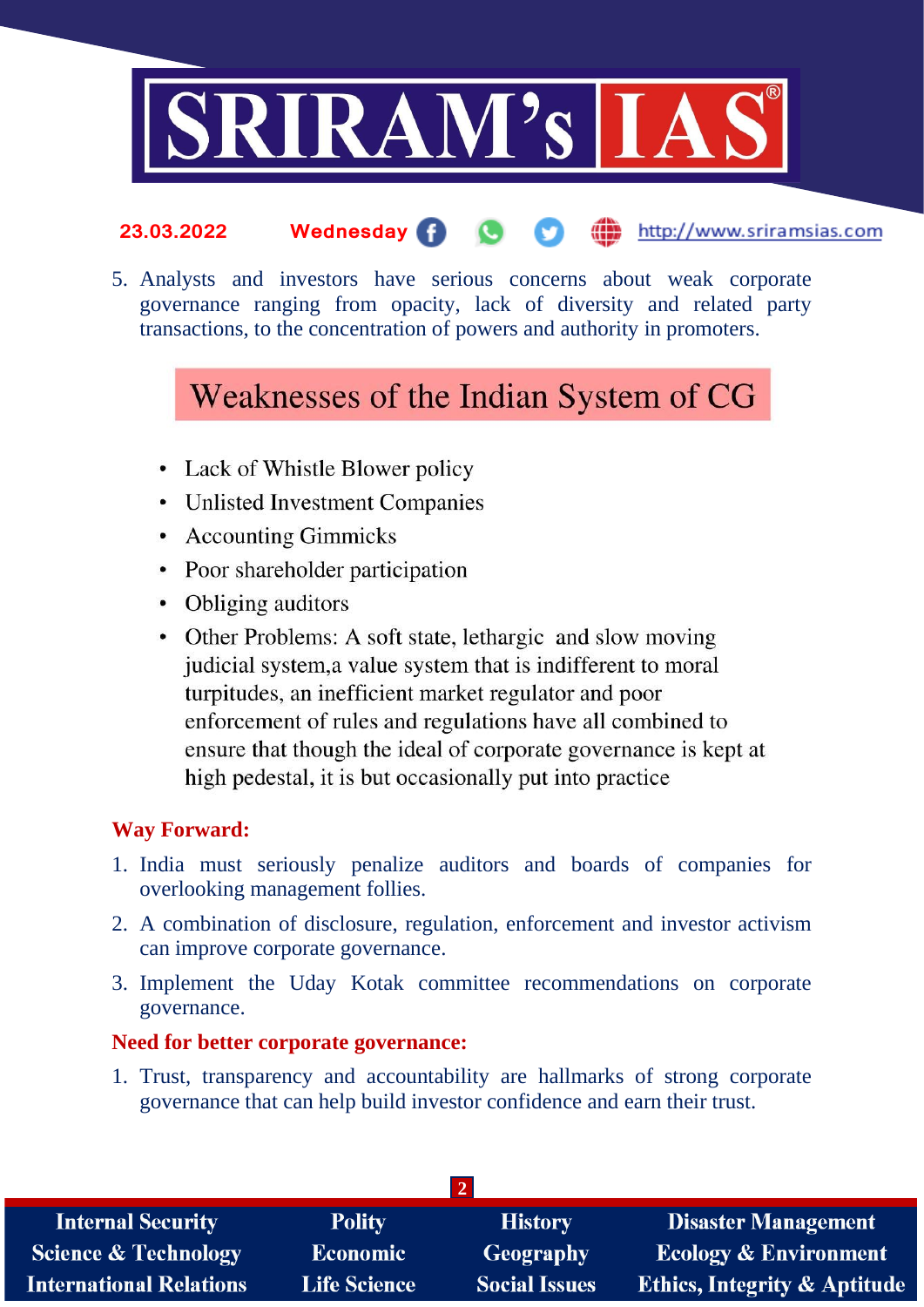

#### **23.03.2022 Wednesday** http://www.sriramsias.com

5. Analysts and investors have serious concerns about weak corporate governance ranging from opacity, lack of diversity and related party transactions, to the concentration of powers and authority in promoters.

# Weaknesses of the Indian System of CG

- Lack of Whistle Blower policy
- Unlisted Investment Companies
- Accounting Gimmicks
- Poor shareholder participation
- Obliging auditors
- Other Problems: A soft state, lethargic and slow moving judicial system, a value system that is indifferent to moral turpitudes, an inefficient market regulator and poor enforcement of rules and regulations have all combined to ensure that though the ideal of corporate governance is kept at high pedestal, it is but occasionally put into practice

## **Way Forward:**

- 1. India must seriously penalize auditors and boards of companies for overlooking management follies.
- 2. A combination of disclosure, regulation, enforcement and investor activism can improve corporate governance.
- 3. Implement the Uday Kotak committee recommendations on corporate governance.

## **Need for better corporate governance:**

1. Trust, transparency and accountability are hallmarks of strong corporate governance that can help build investor confidence and earn their trust.

| <b>Internal Security</b>        | <b>Polity</b>       | <b>History</b>       | <b>Disaster Management</b>              |  |  |
|---------------------------------|---------------------|----------------------|-----------------------------------------|--|--|
| <b>Science &amp; Technology</b> | <b>Economic</b>     | <b>Geography</b>     | <b>Ecology &amp; Environment</b>        |  |  |
| <b>International Relations</b>  | <b>Life Science</b> | <b>Social Issues</b> | <b>Ethics, Integrity &amp; Aptitude</b> |  |  |